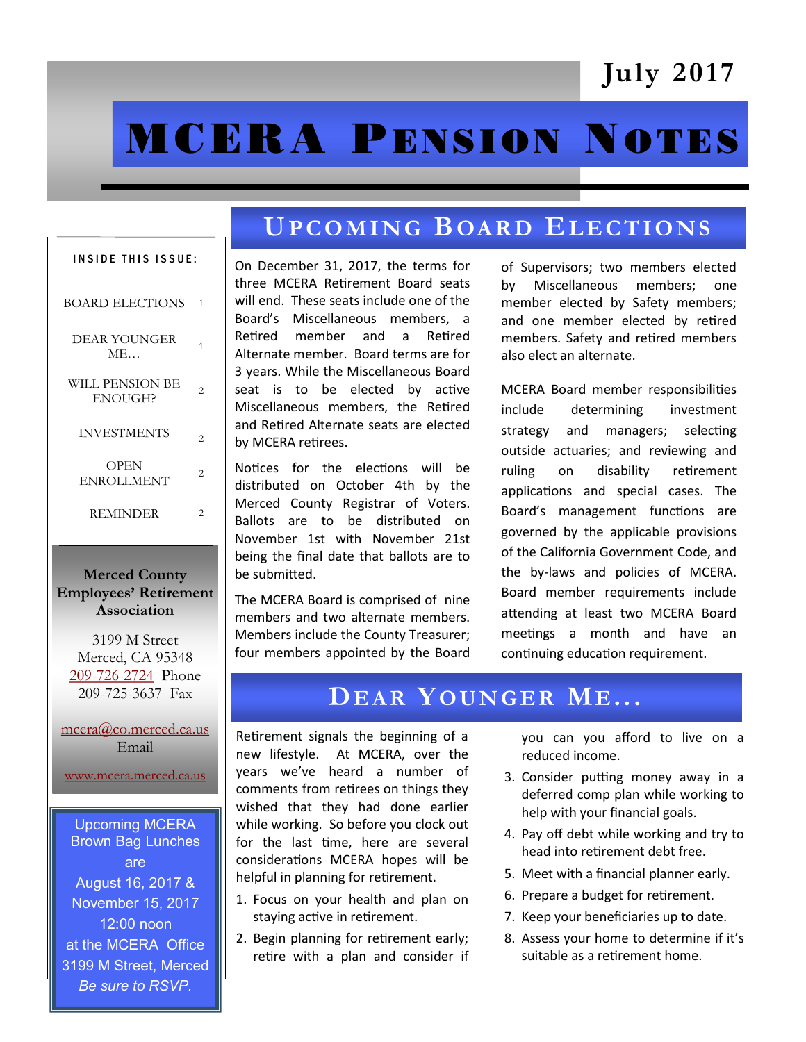# July 2017

# **MCERA PENSION NOTES**

# UPCOMING BOARD ELECTIONS

| <b>INSIDE THIS ISSUE:</b>         |                |
|-----------------------------------|----------------|
| <b>BOARD ELECTIONS</b>            | 1              |
| DEAR YOUNGER<br><b>ME</b>         | 1              |
| WILL PENSION BE<br><b>ENOUGH?</b> | $\overline{c}$ |
| <b>INVESTMENTS</b>                | 2              |
| OPEN<br><b>ENROLLMENT</b>         | 2              |
| <b>REMINDER</b>                   | 2              |

#### Merced County Employees' Retirement Association

3199 M Street Merced, CA 95348 [209-726-2724](tel:+12097262724) Phone 209-725-3637 Fax

[mcera@co.merced.ca.us](mailto:mcera@co.merced.ca.us) Email

[www.mcera.merced.ca.us](http://www.mcera.merced.ca.us) 

Upcoming MCERA Brown Bag Lunches are August 16, 2017 & November 15, 2017 12:00 noon at the MCERA Office 3199 M Street, Merced *Be sure to RSVP.*

#### On December 31, 2017, the terms for three MCERA Retirement Board seats will end. These seats include one of the Board's Miscellaneous members, a Retired member and a Retired Alternate member. Board terms are for 3 years. While the Miscellaneous Board seat is to be elected by active Miscellaneous members, the Retired and Retired Alternate seats are elected by MCERA retirees.

Notices for the elections will be distributed on October 4th by the Merced County Registrar of Voters. Ballots are to be distributed on November 1st with November 21st being the final date that ballots are to be submitted.

The MCERA Board is comprised of nine members and two alternate members. Members include the County Treasurer; four members appointed by the Board

of Supervisors; two members elected by Miscellaneous members; one member elected by Safety members; and one member elected by retired members. Safety and retired members also elect an alternate.

MCERA Board member responsibilities include determining investment strategy and managers; selecting outside actuaries; and reviewing and ruling on disability retirement applications and special cases. The Board's management functions are governed by the applicable provisions of the California Government Code, and the by-laws and policies of MCERA. Board member requirements include attending at least two MCERA Board meetings a month and have an continuing education requirement.

## DEAR YOUNGER ME...

Retirement signals the beginning of a new lifestyle. At MCERA, over the years we've heard a number of comments from retirees on things they wished that they had done earlier while working. So before you clock out for the last time, here are several considerations MCERA hopes will be helpful in planning for retirement.

- 1. Focus on your health and plan on staying active in retirement.
- 2. Begin planning for retirement early; retire with a plan and consider if

you can you afford to live on a reduced income.

- 3. Consider putting money away in a deferred comp plan while working to help with your financial goals.
- 4. Pay off debt while working and try to head into retirement debt free.
- 5. Meet with a financial planner early.
- 6. Prepare a budget for retirement.
- 7. Keep your beneficiaries up to date.
- 8. Assess your home to determine if it's suitable as a retirement home.